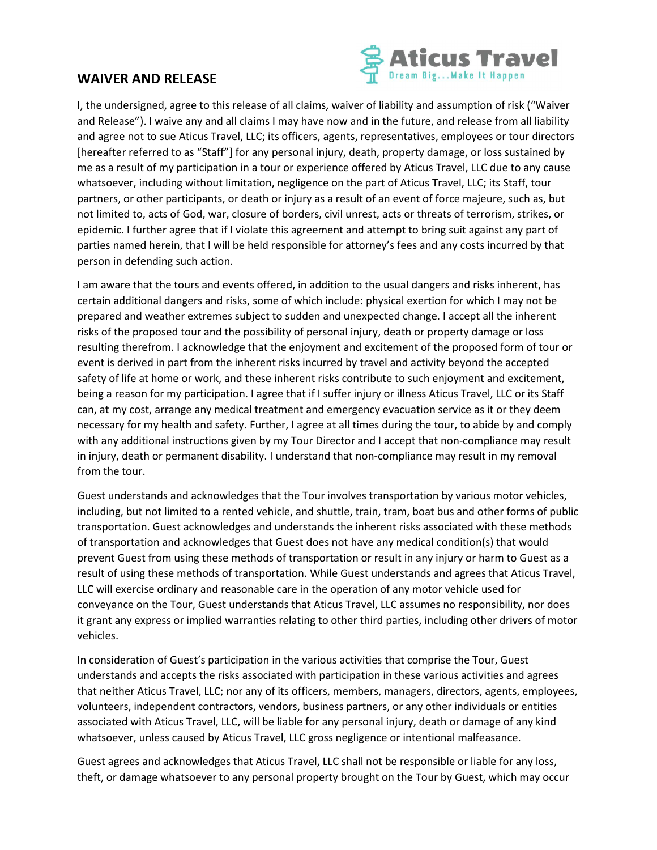## WAIVER AND RELEASE



I, the undersigned, agree to this release of all claims, waiver of liability and assumption of risk ("Waiver and Release"). I waive any and all claims I may have now and in the future, and release from all liability and agree not to sue Aticus Travel, LLC; its officers, agents, representatives, employees or tour directors [hereafter referred to as "Staff"] for any personal injury, death, property damage, or loss sustained by me as a result of my participation in a tour or experience offered by Aticus Travel, LLC due to any cause whatsoever, including without limitation, negligence on the part of Aticus Travel, LLC; its Staff, tour partners, or other participants, or death or injury as a result of an event of force majeure, such as, but not limited to, acts of God, war, closure of borders, civil unrest, acts or threats of terrorism, strikes, or epidemic. I further agree that if I violate this agreement and attempt to bring suit against any part of parties named herein, that I will be held responsible for attorney's fees and any costs incurred by that person in defending such action.

I am aware that the tours and events offered, in addition to the usual dangers and risks inherent, has certain additional dangers and risks, some of which include: physical exertion for which I may not be prepared and weather extremes subject to sudden and unexpected change. I accept all the inherent risks of the proposed tour and the possibility of personal injury, death or property damage or loss resulting therefrom. I acknowledge that the enjoyment and excitement of the proposed form of tour or event is derived in part from the inherent risks incurred by travel and activity beyond the accepted safety of life at home or work, and these inherent risks contribute to such enjoyment and excitement, being a reason for my participation. I agree that if I suffer injury or illness Aticus Travel, LLC or its Staff can, at my cost, arrange any medical treatment and emergency evacuation service as it or they deem necessary for my health and safety. Further, I agree at all times during the tour, to abide by and comply with any additional instructions given by my Tour Director and I accept that non-compliance may result in injury, death or permanent disability. I understand that non-compliance may result in my removal from the tour.

Guest understands and acknowledges that the Tour involves transportation by various motor vehicles, including, but not limited to a rented vehicle, and shuttle, train, tram, boat bus and other forms of public transportation. Guest acknowledges and understands the inherent risks associated with these methods of transportation and acknowledges that Guest does not have any medical condition(s) that would prevent Guest from using these methods of transportation or result in any injury or harm to Guest as a result of using these methods of transportation. While Guest understands and agrees that Aticus Travel, LLC will exercise ordinary and reasonable care in the operation of any motor vehicle used for conveyance on the Tour, Guest understands that Aticus Travel, LLC assumes no responsibility, nor does it grant any express or implied warranties relating to other third parties, including other drivers of motor vehicles.

In consideration of Guest's participation in the various activities that comprise the Tour, Guest understands and accepts the risks associated with participation in these various activities and agrees that neither Aticus Travel, LLC; nor any of its officers, members, managers, directors, agents, employees, volunteers, independent contractors, vendors, business partners, or any other individuals or entities associated with Aticus Travel, LLC, will be liable for any personal injury, death or damage of any kind whatsoever, unless caused by Aticus Travel, LLC gross negligence or intentional malfeasance.

Guest agrees and acknowledges that Aticus Travel, LLC shall not be responsible or liable for any loss, theft, or damage whatsoever to any personal property brought on the Tour by Guest, which may occur